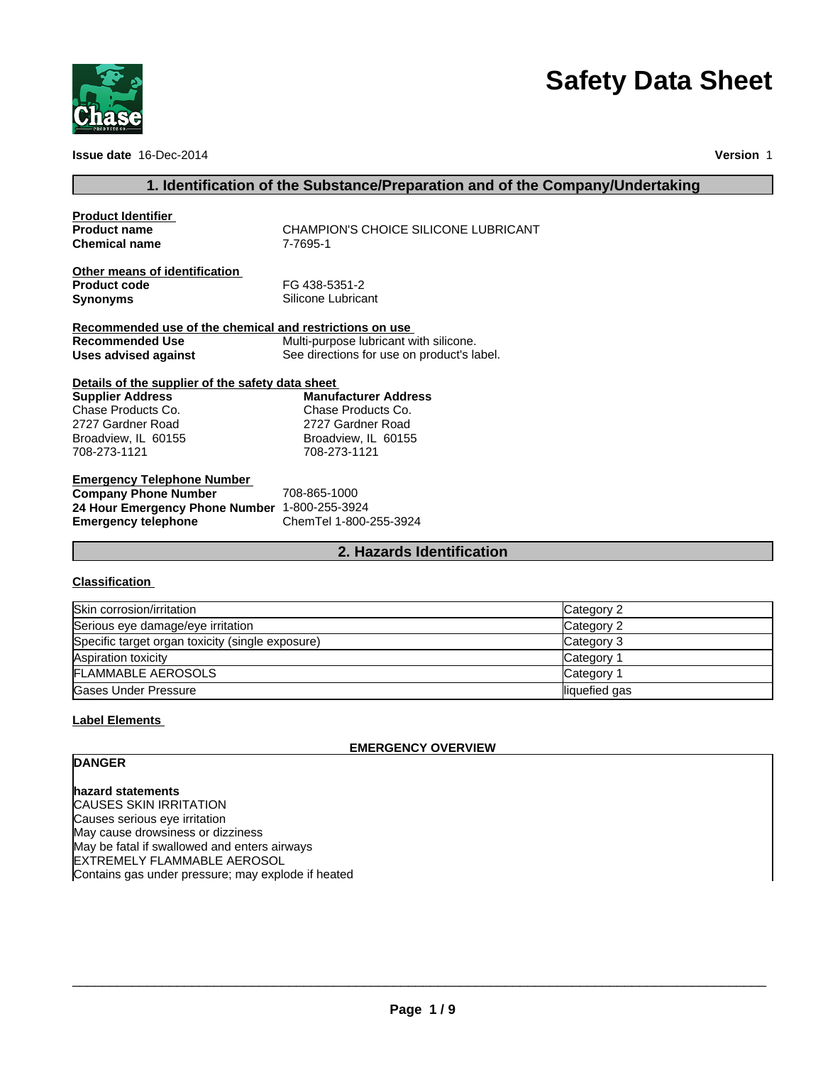

**Issue date** 16-Dec-2014 **Version** 1

# **Safety Data Sheet**

# **1. Identification of the Substance/Preparation and of the Company/Undertaking**

| <b>Product Identifier</b>                               |                                            |
|---------------------------------------------------------|--------------------------------------------|
| <b>Product name</b>                                     | CHAMPION'S CHOICE SILICONE LUBRICANT       |
| <b>Chemical name</b>                                    | 7-7695-1                                   |
|                                                         |                                            |
| Other means of identification                           |                                            |
| <b>Product code</b>                                     | FG 438-5351-2                              |
| <b>Synonyms</b>                                         | Silicone Lubricant                         |
| Recommended use of the chemical and restrictions on use |                                            |
| <b>Recommended Use</b>                                  | Multi-purpose lubricant with silicone.     |
| Uses advised against                                    | See directions for use on product's label. |
|                                                         |                                            |
| Details of the supplier of the safety data sheet        |                                            |
| <b>Supplier Address</b>                                 | <b>Manufacturer Address</b>                |
| Chase Products Co.                                      | Chase Products Co.                         |
| 2727 Gardner Road                                       | 2727 Gardner Road                          |
| Broadview, IL 60155                                     | Broadview, IL 60155                        |
| 708-273-1121                                            | 708-273-1121                               |
| <b>Emergency Telephone Number</b>                       |                                            |
| <b>Company Phone Number</b>                             | 708-865-1000                               |
| 24 Hour Emergency Phone Number 1-800-255-3924           |                                            |
| <b>Emergency telephone</b>                              | ChemTel 1-800-255-3924                     |

# **2. Hazards Identification**

#### **Classification**

| Skin corrosion/irritation                        | Category 2    |
|--------------------------------------------------|---------------|
| Serious eye damage/eye irritation                | Category 2    |
| Specific target organ toxicity (single exposure) | Category 3    |
| Aspiration toxicity                              | Category 1    |
| <b>FLAMMABLE AEROSOLS</b>                        | Category 1    |
| Gases Under Pressure                             | liquefied gas |

#### **Label Elements**

**DANGER**

### **EMERGENCY OVERVIEW**

**hazard statements** CAUSES SKIN IRRITATION Causes serious eye irritation May cause drowsiness or dizziness May be fatal if swallowed and enters airways EXTREMELY FLAMMABLE AEROSOL Contains gas under pressure; may explode if heated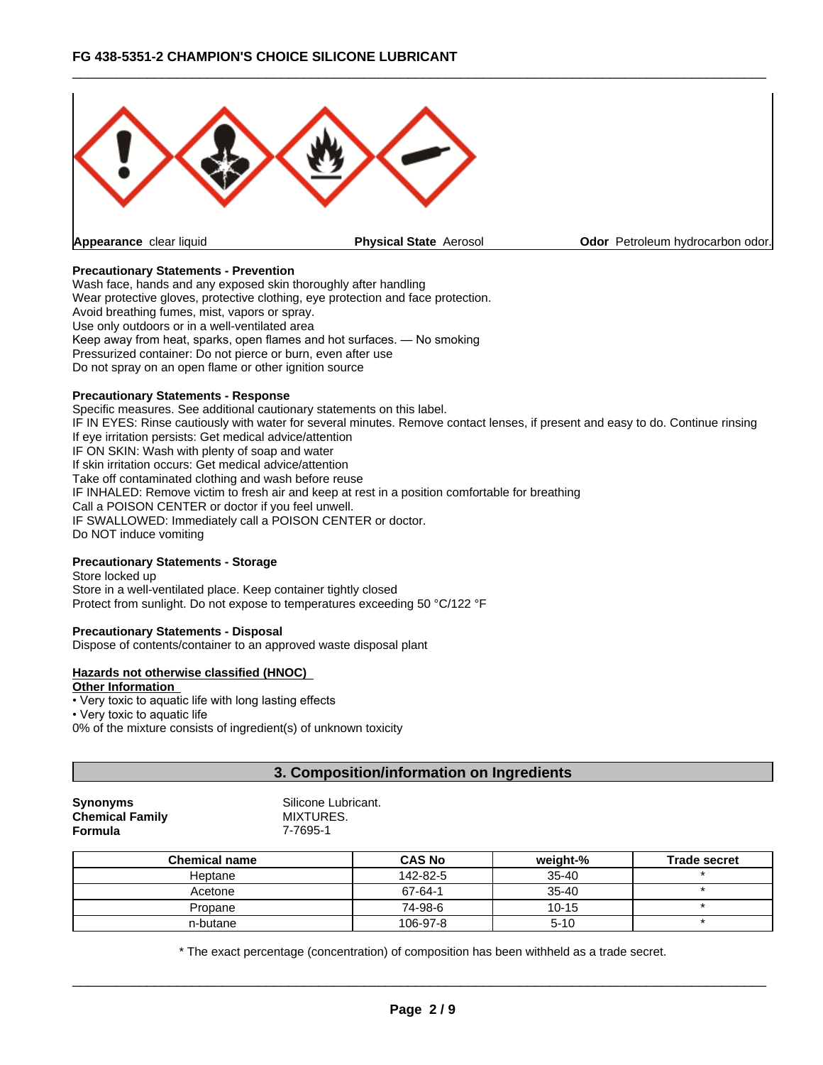

**Appearance** clear liquid

**Physical State** Aerosol **Odor Petroleum hydrocarbon odor.** 

#### **Precautionary Statements - Prevention**

Wash face, hands and any exposed skin thoroughly after handling Wear protective gloves, protective clothing, eye protection and face protection. Avoid breathing fumes, mist, vapors or spray. Use only outdoors or in a well-ventilated area Keep away from heat, sparks, open flames and hot surfaces. - No smoking Pressurized container: Do not pierce or burn, even after use Do not spray on an open flame or other ignition source

#### **Precautionary Statements - Response**

Specific measures. See additional cautionary statements on this label. IF IN EYES: Rinse cautiously with water for several minutes. Remove contact lenses, if present and easy to do. Continue rinsing If eye irritation persists: Get medical advice/attention IF ON SKIN: Wash with plenty of soap and water If skin irritation occurs: Get medical advice/attention Take off contaminated clothing and wash before reuse IF INHALED: Remove victim to fresh air and keep at rest in a position comfortable for breathing Call a POISON CENTER or doctor if you feel unwell. IF SWALLOWED: Immediately call a POISON CENTER or doctor. Do NOT induce vomiting

#### **Precautionary Statements - Storage**

Store locked up Store in a well-ventilated place. Keep container tightly closed Protect from sunlight. Do not expose to temperatures exceeding 50 °C/122 °F

#### **Precautionary Statements - Disposal**

Dispose of contents/container to an approved waste disposal plant

#### **Hazards not otherwise classified (HNOC)**

### **Other Information**

• Very toxic to aquatic life with long lasting effects

• Very toxic to aquatic life

0% of the mixture consists of ingredient(s) of unknown toxicity

# **3. Composition/information on Ingredients**

| <b>Synonyms</b>        | Silicone Lubricant. |
|------------------------|---------------------|
| <b>Chemical Family</b> | MIXTURES.           |
| <b>Formula</b>         | 7-7695-1            |

| <b>Chemical name</b> | <b>CAS No</b> | weight-%  | <b>Trade secret</b> |
|----------------------|---------------|-----------|---------------------|
| Heptane              | 142-82-5      | $35 - 40$ |                     |
| Acetone              | 67-64-1       | $35 - 40$ |                     |
| Propane              | 74-98-6       | $10 - 15$ |                     |
| n-butane             | 106-97-8      | $5 - 10$  |                     |

\* The exact percentage (concentration) of composition has been withheld as a trade secret.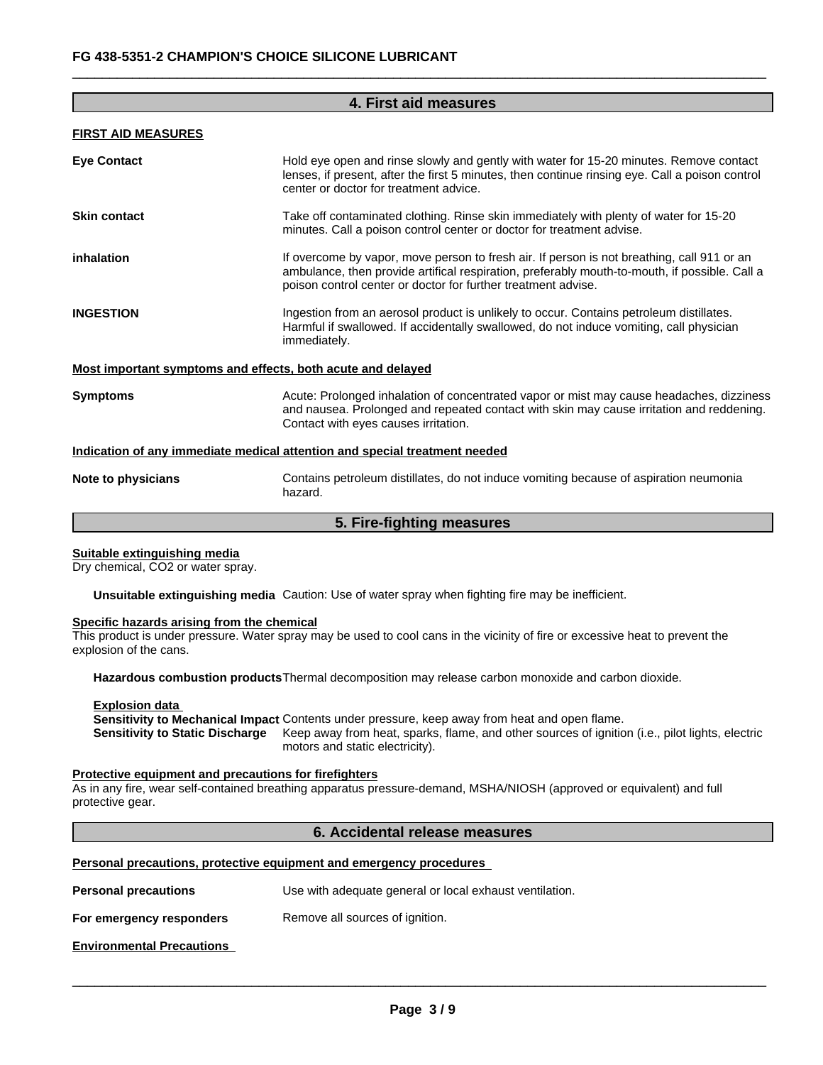|                                                                                                                                                                                                                                                                            | 4. First aid measures                                                                                                                                                                                                               |  |  |
|----------------------------------------------------------------------------------------------------------------------------------------------------------------------------------------------------------------------------------------------------------------------------|-------------------------------------------------------------------------------------------------------------------------------------------------------------------------------------------------------------------------------------|--|--|
| <b>FIRST AID MEASURES</b>                                                                                                                                                                                                                                                  |                                                                                                                                                                                                                                     |  |  |
| <b>Eye Contact</b>                                                                                                                                                                                                                                                         | Hold eye open and rinse slowly and gently with water for 15-20 minutes. Remove contact<br>lenses, if present, after the first 5 minutes, then continue rinsing eye. Call a poison control<br>center or doctor for treatment advice. |  |  |
| <b>Skin contact</b>                                                                                                                                                                                                                                                        | Take off contaminated clothing. Rinse skin immediately with plenty of water for 15-20<br>minutes. Call a poison control center or doctor for treatment advise.                                                                      |  |  |
| If overcome by vapor, move person to fresh air. If person is not breathing, call 911 or an<br>inhalation<br>ambulance, then provide artifical respiration, preferably mouth-to-mouth, if possible. Call a<br>poison control center or doctor for further treatment advise. |                                                                                                                                                                                                                                     |  |  |
| <b>INGESTION</b>                                                                                                                                                                                                                                                           | Ingestion from an aerosol product is unlikely to occur. Contains petroleum distillates.<br>Harmful if swallowed. If accidentally swallowed, do not induce vomiting, call physician<br>immediately.                                  |  |  |
| Most important symptoms and effects, both acute and delayed                                                                                                                                                                                                                |                                                                                                                                                                                                                                     |  |  |
| <b>Symptoms</b>                                                                                                                                                                                                                                                            | Acute: Prolonged inhalation of concentrated vapor or mist may cause headaches, dizziness<br>and nausea. Prolonged and repeated contact with skin may cause irritation and reddening.<br>Contact with eyes causes irritation.        |  |  |
|                                                                                                                                                                                                                                                                            | Indication of any immediate medical attention and special treatment needed                                                                                                                                                          |  |  |
| Note to physicians                                                                                                                                                                                                                                                         | Contains petroleum distillates, do not induce vomiting because of aspiration neumonia<br>hazard.                                                                                                                                    |  |  |
|                                                                                                                                                                                                                                                                            | 5. Fire-fighting measures                                                                                                                                                                                                           |  |  |
| Suitable extinguishing media<br>Dry chemical, CO2 or water spray.                                                                                                                                                                                                          |                                                                                                                                                                                                                                     |  |  |
|                                                                                                                                                                                                                                                                            | Unsuitable extinguishing media Caution: Use of water spray when fighting fire may be inefficient.                                                                                                                                   |  |  |
| Specific hazards arising from the chemical<br>explosion of the cans.                                                                                                                                                                                                       | This product is under pressure. Water spray may be used to cool cans in the vicinity of fire or excessive heat to prevent the                                                                                                       |  |  |
|                                                                                                                                                                                                                                                                            | Hazardous combustion products Thermal decomposition may release carbon monoxide and carbon dioxide.                                                                                                                                 |  |  |
| <b>Explosion data</b><br><b>Sensitivity to Static Discharge</b>                                                                                                                                                                                                            | Sensitivity to Mechanical Impact Contents under pressure, keep away from heat and open flame.<br>Keep away from heat, sparks, flame, and other sources of ignition (i.e., pilot lights, electric<br>motors and static electricity). |  |  |
| Protective equipment and precautions for firefighters<br>protective gear.                                                                                                                                                                                                  | As in any fire, wear self-contained breathing apparatus pressure-demand, MSHA/NIOSH (approved or equivalent) and full                                                                                                               |  |  |
|                                                                                                                                                                                                                                                                            | 6. Accidental release measures                                                                                                                                                                                                      |  |  |
|                                                                                                                                                                                                                                                                            | Personal precautions, protective equipment and emergency procedures                                                                                                                                                                 |  |  |
| <b>Personal precautions</b>                                                                                                                                                                                                                                                | Use with adequate general or local exhaust ventilation.                                                                                                                                                                             |  |  |
| Remove all sources of ignition.<br>For emergency responders                                                                                                                                                                                                                |                                                                                                                                                                                                                                     |  |  |

**Environmental Precautions**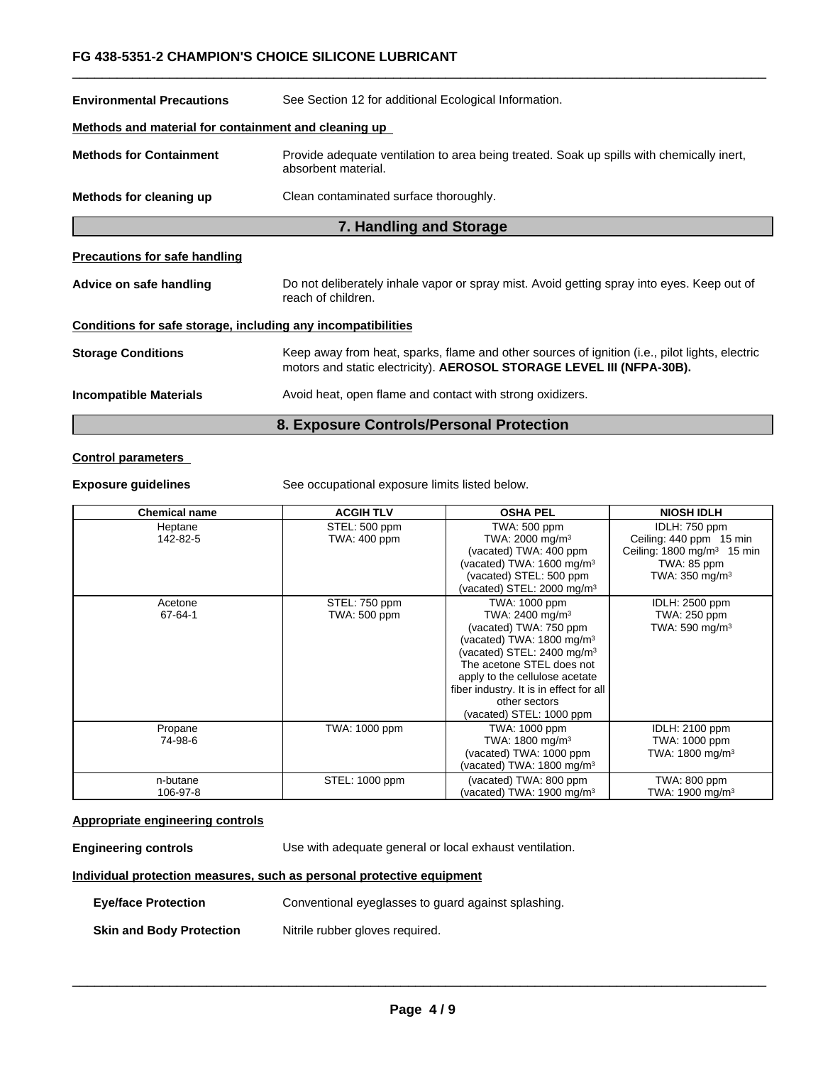# \_\_\_\_\_\_\_\_\_\_\_\_\_\_\_\_\_\_\_\_\_\_\_\_\_\_\_\_\_\_\_\_\_\_\_\_\_\_\_\_\_\_\_\_\_\_\_\_\_\_\_\_\_\_\_\_\_\_\_\_\_\_\_\_\_\_\_\_\_\_\_\_\_\_\_\_\_\_\_\_\_\_\_\_\_\_\_\_\_\_\_\_\_ **FG 438-5351-2 CHAMPION'S CHOICE SILICONE LUBRICANT**

| <b>Environmental Precautions</b>                                                                                                                                                                     | See Section 12 for additional Ecological Information.                                                            |  |  |  |
|------------------------------------------------------------------------------------------------------------------------------------------------------------------------------------------------------|------------------------------------------------------------------------------------------------------------------|--|--|--|
| Methods and material for containment and cleaning up                                                                                                                                                 |                                                                                                                  |  |  |  |
| <b>Methods for Containment</b>                                                                                                                                                                       | Provide adequate ventilation to area being treated. Soak up spills with chemically inert,<br>absorbent material. |  |  |  |
| Methods for cleaning up                                                                                                                                                                              | Clean contaminated surface thoroughly.                                                                           |  |  |  |
|                                                                                                                                                                                                      | 7. Handling and Storage                                                                                          |  |  |  |
| <b>Precautions for safe handling</b>                                                                                                                                                                 |                                                                                                                  |  |  |  |
| Advice on safe handling                                                                                                                                                                              | Do not deliberately inhale vapor or spray mist. Avoid getting spray into eyes. Keep out of<br>reach of children. |  |  |  |
| Conditions for safe storage, including any incompatibilities                                                                                                                                         |                                                                                                                  |  |  |  |
| Keep away from heat, sparks, flame and other sources of ignition (i.e., pilot lights, electric<br><b>Storage Conditions</b><br>motors and static electricity). AEROSOL STORAGE LEVEL III (NFPA-30B). |                                                                                                                  |  |  |  |
| <b>Incompatible Materials</b>                                                                                                                                                                        | Avoid heat, open flame and contact with strong oxidizers.                                                        |  |  |  |
|                                                                                                                                                                                                      | 8. Exposure Controls/Personal Protection                                                                         |  |  |  |

#### **Control parameters**

**Exposure guidelines** See occupational exposure limits listed below.

| <b>Chemical name</b> | <b>ACGIH TLV</b>              | <b>OSHA PEL</b>                                                                                                                                                                                                                                                                                                 | <b>NIOSH IDLH</b>                                                                                                             |
|----------------------|-------------------------------|-----------------------------------------------------------------------------------------------------------------------------------------------------------------------------------------------------------------------------------------------------------------------------------------------------------------|-------------------------------------------------------------------------------------------------------------------------------|
| Heptane<br>142-82-5  | STEL: 500 ppm<br>TWA: 400 ppm | TWA: 500 ppm<br>TWA: 2000 mg/m <sup>3</sup><br>(vacated) TWA: 400 ppm<br>(vacated) TWA: 1600 mg/m <sup>3</sup><br>(vacated) STEL: 500 ppm<br>(vacated) STEL: $2000 \text{ mg/m}^3$                                                                                                                              | IDLH: 750 ppm<br>Ceiling: 440 ppm 15 min<br>Ceiling: $1800 \text{ mg/m}^3$ 15 min<br>TWA: 85 ppm<br>TWA: $350 \text{ mg/m}^3$ |
| Acetone<br>67-64-1   | STEL: 750 ppm<br>TWA: 500 ppm | TWA: 1000 ppm<br>TWA: 2400 mg/m <sup>3</sup><br>(vacated) TWA: 750 ppm<br>(vacated) TWA: 1800 mg/m <sup>3</sup><br>(vacated) STEL: $2400 \text{ mg/m}^3$<br>The acetone STEL does not<br>apply to the cellulose acetate<br>fiber industry. It is in effect for all<br>other sectors<br>(vacated) STEL: 1000 ppm | IDLH: 2500 ppm<br>TWA: 250 ppm<br>TWA: 590 mg/m $3$                                                                           |
| Propane<br>74-98-6   | TWA: 1000 ppm                 | TWA: 1000 ppm<br>TWA: 1800 mg/m <sup>3</sup><br>(vacated) TWA: 1000 ppm<br>vacated) TWA: 1800 mg/m <sup>3</sup>                                                                                                                                                                                                 | IDLH: 2100 ppm<br>TWA: 1000 ppm<br>TWA: 1800 mg/m <sup>3</sup>                                                                |
| n-butane<br>106-97-8 | STEL: 1000 ppm                | (vacated) TWA: 800 ppm<br>(vacated) TWA: 1900 mg/m $3$                                                                                                                                                                                                                                                          | TWA: 800 ppm<br>TWA: 1900 mg/m <sup>3</sup>                                                                                   |

# **Appropriate engineering controls**

**Engineering controls** Use with adequate general or local exhaust ventilation.

#### **Individual protection measures, such as personal protective equipment**

| <b>Eye/face Protection</b>      | Conventional eyeglasses to guard against splashing. |  |  |
|---------------------------------|-----------------------------------------------------|--|--|
| <b>Skin and Body Protection</b> | Nitrile rubber gloves required.                     |  |  |
|                                 |                                                     |  |  |
|                                 |                                                     |  |  |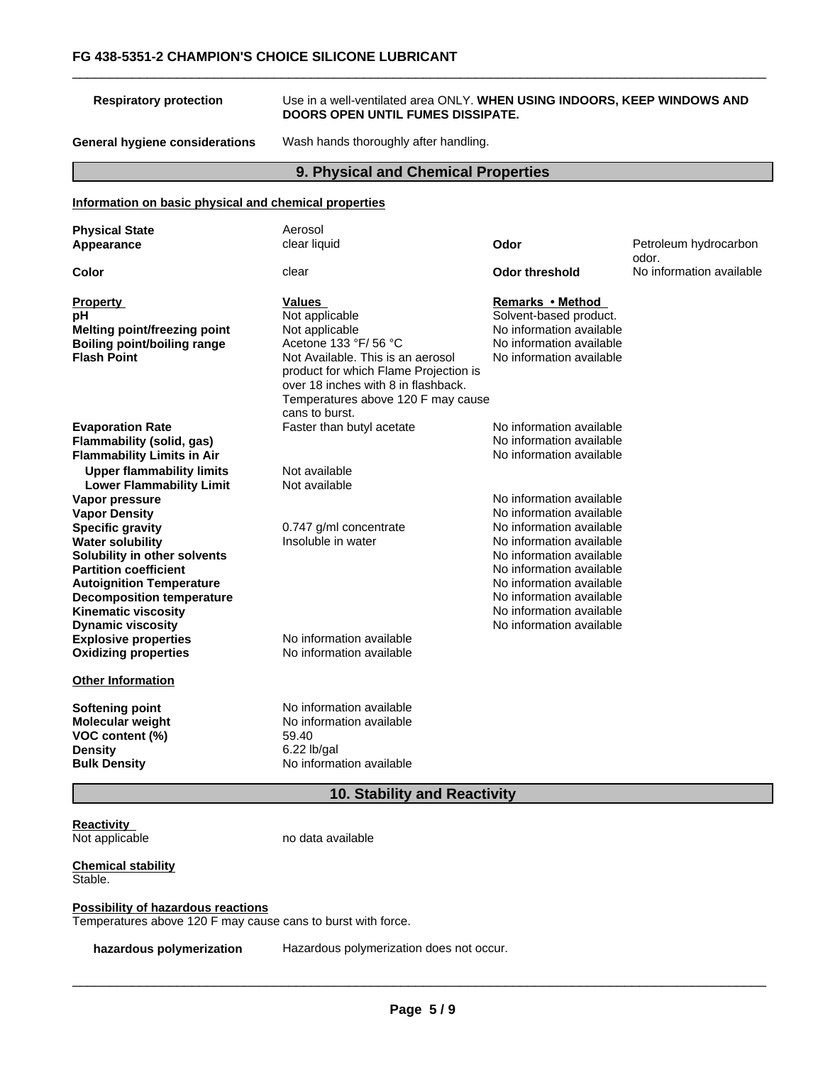#### **Respiratory protection** Use in a well-ventilated area ONLY. **WHEN USING INDOORS, KEEP WINDOWS AND DOORS OPEN UNTIL FUMES DISSIPATE.**

**General hygiene considerations** Wash hands thoroughly after handling.

# **9. Physical and Chemical Properties**

#### **Information on basic physical and chemical properties**

| <b>Physical State</b><br>Appearance                                                                                                                                                                                                                                                                                                                                                                                                                                                                                             | Aerosol<br>clear liquid                                                                                                                                                                                                                                 | Odor                                                                                                                                                                                                                                                                                                                                                                     | Petroleum hydrocarbon<br>odor. |
|---------------------------------------------------------------------------------------------------------------------------------------------------------------------------------------------------------------------------------------------------------------------------------------------------------------------------------------------------------------------------------------------------------------------------------------------------------------------------------------------------------------------------------|---------------------------------------------------------------------------------------------------------------------------------------------------------------------------------------------------------------------------------------------------------|--------------------------------------------------------------------------------------------------------------------------------------------------------------------------------------------------------------------------------------------------------------------------------------------------------------------------------------------------------------------------|--------------------------------|
| Color                                                                                                                                                                                                                                                                                                                                                                                                                                                                                                                           | clear                                                                                                                                                                                                                                                   | <b>Odor threshold</b>                                                                                                                                                                                                                                                                                                                                                    | No information available       |
| <b>Property</b><br>pН<br><b>Melting point/freezing point</b><br><b>Boiling point/boiling range</b><br><b>Flash Point</b>                                                                                                                                                                                                                                                                                                                                                                                                        | <b>Values</b><br>Not applicable<br>Not applicable<br>Acetone 133 °F/ 56 °C<br>Not Available. This is an aerosol<br>product for which Flame Projection is<br>over 18 inches with 8 in flashback.<br>Temperatures above 120 F may cause<br>cans to burst. | Remarks • Method<br>Solvent-based product.<br>No information available<br>No information available<br>No information available                                                                                                                                                                                                                                           |                                |
| <b>Evaporation Rate</b><br>Flammability (solid, gas)<br><b>Flammability Limits in Air</b><br><b>Upper flammability limits</b><br><b>Lower Flammability Limit</b><br>Vapor pressure<br><b>Vapor Density</b><br><b>Specific gravity</b><br><b>Water solubility</b><br>Solubility in other solvents<br><b>Partition coefficient</b><br><b>Autoignition Temperature</b><br><b>Decomposition temperature</b><br><b>Kinematic viscosity</b><br><b>Dynamic viscosity</b><br><b>Explosive properties</b><br><b>Oxidizing properties</b> | Faster than butyl acetate<br>Not available<br>Not available<br>0.747 g/ml concentrate<br>Insoluble in water<br>No information available<br>No information available                                                                                     | No information available<br>No information available<br>No information available<br>No information available<br>No information available<br>No information available<br>No information available<br>No information available<br>No information available<br>No information available<br>No information available<br>No information available<br>No information available |                                |
| <b>Other Information</b><br><b>Softening point</b><br><b>Molecular weight</b><br>VOC content (%)<br><b>Density</b><br><b>Bulk Density</b>                                                                                                                                                                                                                                                                                                                                                                                       | No information available<br>No information available<br>59.40<br>$6.22$ lb/gal<br>No information available                                                                                                                                              |                                                                                                                                                                                                                                                                                                                                                                          |                                |

#### **10. Stability and Reactivity**

# **Reactivity**<br>Not applicable

no data available

**Chemical stability** Stable.

**Possibility of hazardous reactions**

Temperatures above 120 F may cause cans to burst with force.

**hazardous polymerization** Hazardous polymerization does not occur.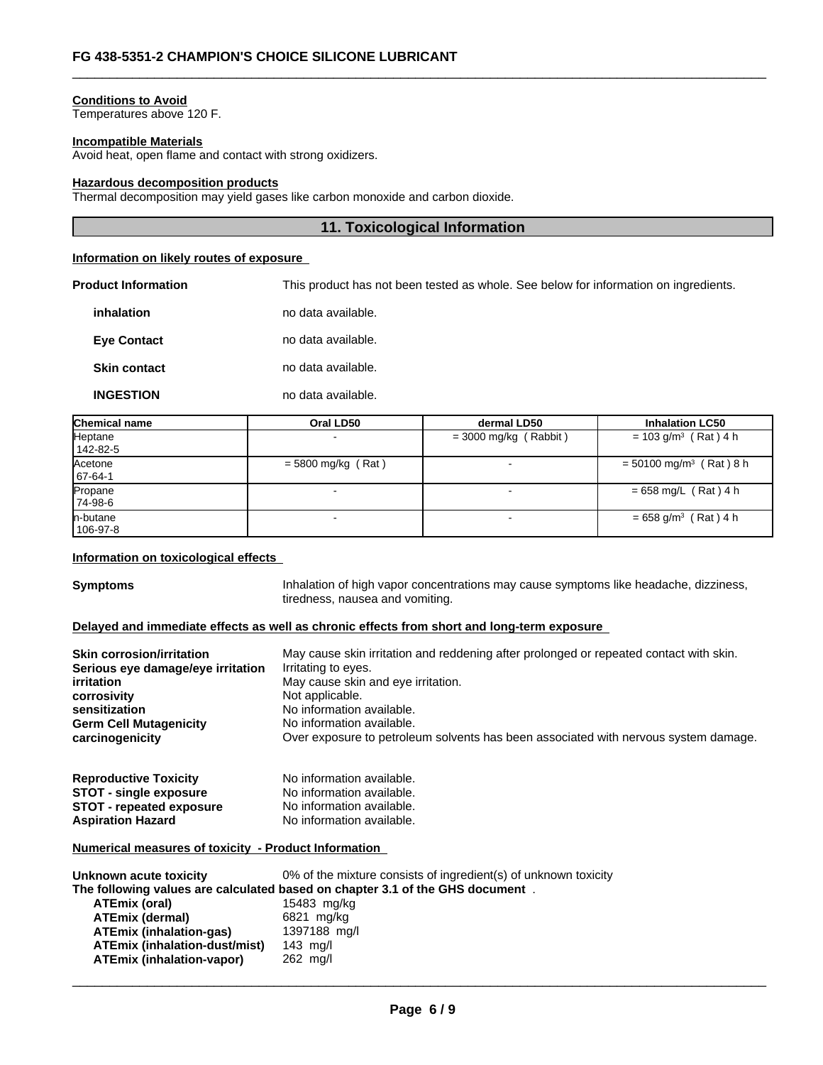#### **Conditions to Avoid**

Temperatures above 120 F.

#### **Incompatible Materials**

Avoid heat, open flame and contact with strong oxidizers.

#### **Hazardous decomposition products**

Thermal decomposition may yield gases like carbon monoxide and carbon dioxide.

# **11. Toxicological Information**

#### **Information on likely routes of exposure**

**Product Information** This product has not been tested as whole. See below for information on ingredients.

| inhalation | no data available. |
|------------|--------------------|

| <b>Eye Contact</b> | no data available. |
|--------------------|--------------------|
|                    |                    |

**Skin contact** no data available.

**INGESTION** no data available.

| <b>Chemical name</b> | Oral LD50            | dermal LD50              | <b>Inhalation LC50</b>                |
|----------------------|----------------------|--------------------------|---------------------------------------|
| Heptane              |                      | $=$ 3000 mg/kg (Rabbit)  | $= 103$ g/m <sup>3</sup> (Rat) 4 h    |
| 142-82-5             |                      |                          |                                       |
| Acetone              | $=$ 5800 mg/kg (Rat) | $\overline{\phantom{0}}$ | $=$ 50100 mg/m <sup>3</sup> (Rat) 8 h |
| $ 67-64-1 $          |                      |                          |                                       |
| Propane              |                      |                          | $= 658$ mg/L (Rat) 4 h                |
| 74-98-6              |                      |                          |                                       |
| In-butane            |                      |                          | $= 658$ g/m <sup>3</sup> (Rat) 4 h    |
| 106-97-8             |                      |                          |                                       |

#### **Information on toxicological effects**

**Symptoms Inhalation of high vapor concentrations may cause symptoms like headache, dizziness,** tiredness, nausea and vomiting.

#### **Delayed and immediate effects as well as chronic effects from short and long-term exposure**

| <b>Skin corrosion/irritation</b><br>Serious eye damage/eye irritation<br><i>irritation</i><br>corrosivity<br>sensitization<br><b>Germ Cell Mutagenicity</b><br>carcinogenicity | May cause skin irritation and reddening after prolonged or repeated contact with skin.<br>Irritating to eyes.<br>May cause skin and eye irritation.<br>Not applicable.<br>No information available.<br>No information available.<br>Over exposure to petroleum solvents has been associated with nervous system damage. |
|--------------------------------------------------------------------------------------------------------------------------------------------------------------------------------|-------------------------------------------------------------------------------------------------------------------------------------------------------------------------------------------------------------------------------------------------------------------------------------------------------------------------|
| <b>Reproductive Toxicity</b>                                                                                                                                                   | No information available.                                                                                                                                                                                                                                                                                               |
| <b>STOT - single exposure</b>                                                                                                                                                  | No information available.                                                                                                                                                                                                                                                                                               |
| <b>STOT - repeated exposure</b>                                                                                                                                                | No information available.                                                                                                                                                                                                                                                                                               |
| <b>Aspiration Hazard</b>                                                                                                                                                       | No information available.                                                                                                                                                                                                                                                                                               |
| Numerical measures of toxicity - Product Information                                                                                                                           |                                                                                                                                                                                                                                                                                                                         |
| Unknown acute toxicity                                                                                                                                                         | 0% of the mixture consists of ingredient(s) of unknown toxicity                                                                                                                                                                                                                                                         |
|                                                                                                                                                                                | The following values are calculated based on chapter 3.1 of the GHS document.                                                                                                                                                                                                                                           |
| ATEmix (oral)                                                                                                                                                                  | 15483 mg/kg                                                                                                                                                                                                                                                                                                             |
| ATEmix (dermal)                                                                                                                                                                | 6821 mg/kg                                                                                                                                                                                                                                                                                                              |
| <b>ATEmix (inhalation-gas)</b>                                                                                                                                                 | 1397188 mg/l                                                                                                                                                                                                                                                                                                            |
| <b>ATEmix (inhalation-dust/mist)</b>                                                                                                                                           | 143 mg/l                                                                                                                                                                                                                                                                                                                |
| <b>ATEmix (inhalation-vapor)</b>                                                                                                                                               | 262 mg/l                                                                                                                                                                                                                                                                                                                |
|                                                                                                                                                                                |                                                                                                                                                                                                                                                                                                                         |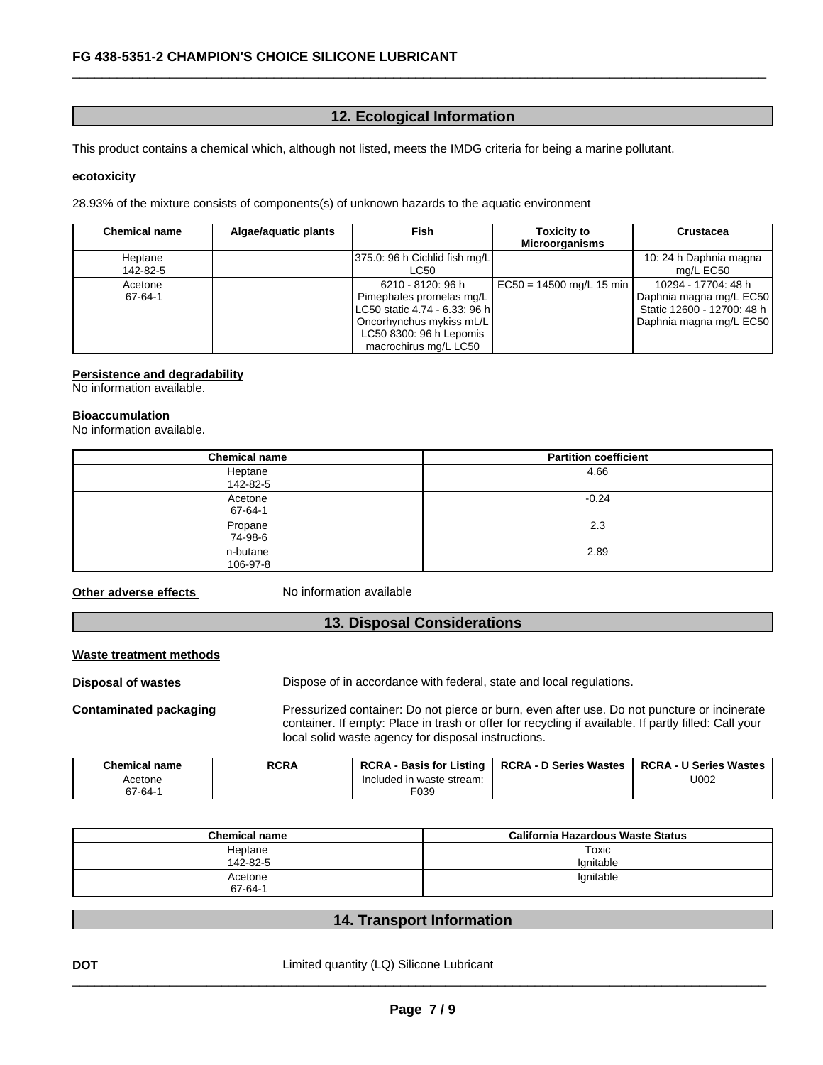# **12. Ecological Information**

This product contains a chemical which, although not listed, meets the IMDG criteria for being a marine pollutant.

#### **ecotoxicity**

28.93% of the mixture consists of components(s) of unknown hazards to the aquatic environment

| <b>Chemical name</b> | Algae/aguatic plants | Fish                          | <b>Toxicity to</b>         | <b>Crustacea</b>           |
|----------------------|----------------------|-------------------------------|----------------------------|----------------------------|
|                      |                      |                               | <b>Microorganisms</b>      |                            |
| Heptane              |                      | 375.0: 96 h Cichlid fish mg/L |                            | 10: 24 h Daphnia magna     |
| 142-82-5             |                      | LC50                          |                            | mg/L EC50                  |
| Acetone              |                      | 6210 - 8120: 96 h             | $EC50 = 14500$ mg/L 15 min | 10294 - 17704: 48 h        |
| 67-64-1              |                      | Pimephales promelas mg/L      |                            | Daphnia magna mg/L EC50    |
|                      |                      | LC50 static 4.74 - 6.33: 96 h |                            | Static 12600 - 12700: 48 h |
|                      |                      | Oncorhynchus mykiss mL/L      |                            | Daphnia magna mg/L EC50    |
|                      |                      | LC50 8300: 96 h Lepomis       |                            |                            |
|                      |                      | macrochirus mg/L LC50         |                            |                            |

#### **Persistence and degradability**

No information available.

#### **Bioaccumulation**

No information available.

| <b>Chemical name</b> | <b>Partition coefficient</b> |
|----------------------|------------------------------|
| Heptane<br>142-82-5  | 4.66                         |
| Acetone<br>67-64-1   | $-0.24$                      |
| Propane<br>74-98-6   | 2.3                          |
| n-butane<br>106-97-8 | 2.89                         |

**Other adverse effects** No information available

# **13. Disposal Considerations**

#### **Waste treatment methods**

**Disposal of wastes** Dispose of in accordance with federal, state and local regulations.

**Contaminated packaging** Pressurized container: Do not pierce or burn, even after use. Do not puncture or incinerate container. If empty: Place in trash or offer for recycling if available. If partly filled: Call your local solid waste agency for disposal instructions.

| <b>Chemical name</b> | <b>RCRA</b> | <b>RCRA</b><br>Listina<br><b>Basis for</b> | <b>RCRA - D Series Wastes</b> | <b>RCRA-</b><br><b>U Series Wastes</b> |
|----------------------|-------------|--------------------------------------------|-------------------------------|----------------------------------------|
| Acetone              |             | ' in waste stream:<br>hAhı<br>Inc<br>.     |                               | U002                                   |
| $67 - 64 - 7$        |             | F039                                       |                               |                                        |

| <b>Chemical name</b> | <b>California Hazardous Waste Status</b> |
|----------------------|------------------------------------------|
| Heptane              | Toxic                                    |
| 142-82-5             | Ignitable                                |
| Acetone              | Ignitable                                |
| 67-64-1              |                                          |

# **14. Transport Information**

**DOT** Limited quantity (LQ) Silicone Lubricant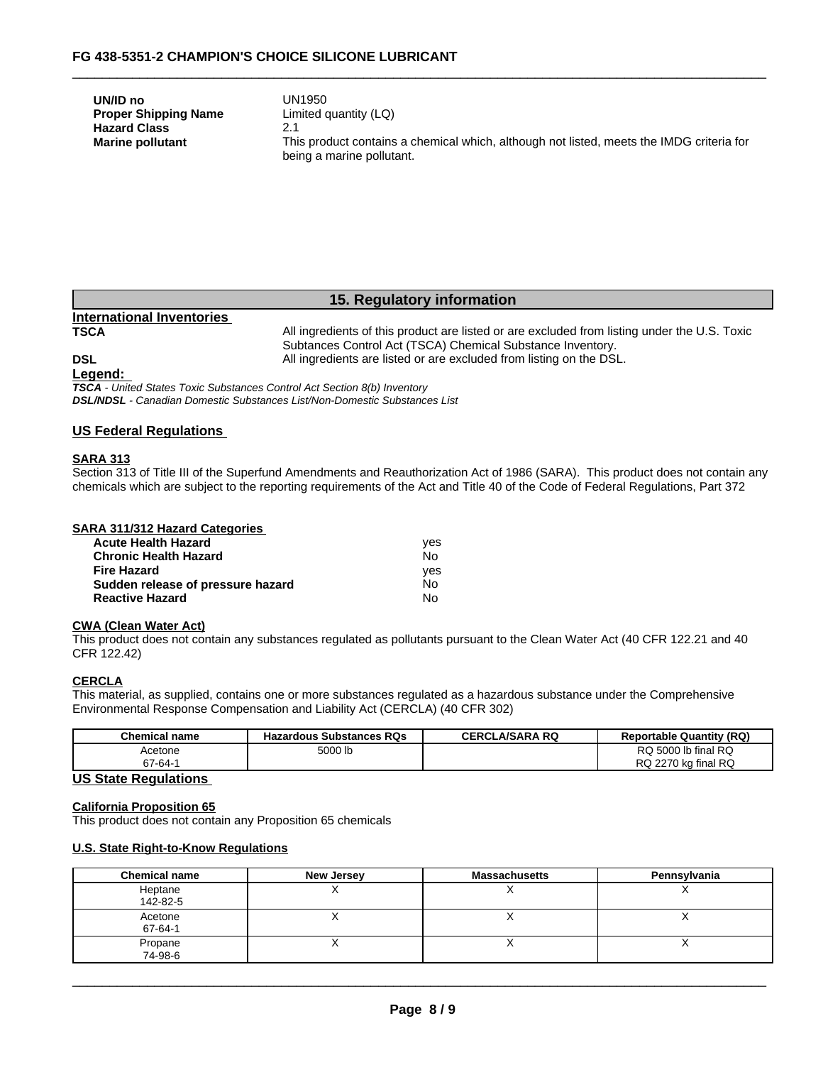**UN/ID no** UN1950 **Proper Shipping Name** Limited quantity (LQ) **Hazard Class** 2.1

**Marine pollutant** This product contains a chemical which, although not listed, meets the IMDG criteria for being a marine pollutant.

# **15. Regulatory information**

# **International Inventories**

All ingredients of this product are listed or are excluded from listing under the U.S. Toxic Subtances Control Act (TSCA) Chemical Substance Inventory. **DSL DSL All ingredients are listed or are excluded from listing on the DSL.** 

**Legend:**  *TSCA - United States Toxic Substances Control Act Section 8(b) Inventory DSL/NDSL - Canadian Domestic Substances List/Non-Domestic Substances List*

### **US Federal Regulations**

#### **SARA 313**

Section 313 of Title III of the Superfund Amendments and Reauthorization Act of 1986 (SARA). This product does not contain any chemicals which are subject to the reporting requirements of the Act and Title 40 of the Code of Federal Regulations, Part 372

#### **SARA 311/312 Hazard Categories**

| <b>Acute Health Hazard</b>        | ves |
|-----------------------------------|-----|
| <b>Chronic Health Hazard</b>      | No  |
| <b>Fire Hazard</b>                | ves |
| Sudden release of pressure hazard | No  |
| <b>Reactive Hazard</b>            | No  |

#### **CWA (Clean Water Act)**

This product does not contain any substances regulated as pollutants pursuant to the Clean Water Act (40 CFR 122.21 and 40 CFR 122.42)

#### **CERCLA**

This material, as supplied, contains one or more substances regulated as a hazardous substance under the Comprehensive Environmental Response Compensation and Liability Act (CERCLA) (40 CFR 302)

| <b>Chemical name</b> | <b>Hazardous Substances RQs</b> | <b>CERCLA/SARA RQ</b> | <b>Reportable Quantity (RQ)</b> |
|----------------------|---------------------------------|-----------------------|---------------------------------|
| Acetone              | 5000 lb                         |                       | RQ 5000 lb final RQ             |
| $67 - 64 -$          |                                 |                       | ) ka final RQ<br>RQ 2270        |

# **US State Regulations**

#### **California Proposition 65**

This product does not contain any Proposition 65 chemicals

#### **U.S. State Right-to-Know Regulations**

| <b>Chemical name</b> | <b>New Jersey</b> | <b>Massachusetts</b> | Pennsylvania |
|----------------------|-------------------|----------------------|--------------|
| Heptane              |                   |                      |              |
| 142-82-5             |                   |                      |              |
| Acetone              |                   |                      |              |
| 67-64-1              |                   |                      |              |
| Propane              |                   |                      |              |
| 74-98-6              |                   |                      |              |